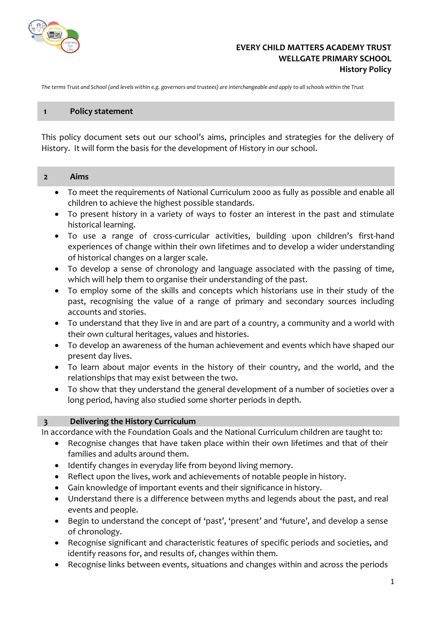

## **EVERY CHILD MATTERS ACADEMY TRUST WELLGATE PRIMARY SCHOOL History Policy**

*The terms Trust and School (and levels within e.g. governors and trustees) are interchangeable and apply to all schools within the Trust*

#### **1 Policy statement**

This policy document sets out our school's aims, principles and strategies for the delivery of History. It will form the basis for the development of History in our school.

#### **2 Aims**

- To meet the requirements of National Curriculum 2000 as fully as possible and enable all children to achieve the highest possible standards.
- To present history in a variety of ways to foster an interest in the past and stimulate historical learning.
- To use a range of cross-curricular activities, building upon children's first-hand experiences of change within their own lifetimes and to develop a wider understanding of historical changes on a larger scale.
- To develop a sense of chronology and language associated with the passing of time, which will help them to organise their understanding of the past.
- To employ some of the skills and concepts which historians use in their study of the past, recognising the value of a range of primary and secondary sources including accounts and stories.
- To understand that they live in and are part of a country, a community and a world with their own cultural heritages, values and histories.
- To develop an awareness of the human achievement and events which have shaped our present day lives.
- To learn about major events in the history of their country, and the world, and the relationships that may exist between the two.
- To show that they understand the general development of a number of societies over a long period, having also studied some shorter periods in depth.

### **3 Delivering the History Curriculum**

In accordance with the Foundation Goals and the National Curriculum children are taught to:

- Recognise changes that have taken place within their own lifetimes and that of their families and adults around them.
- Identify changes in everyday life from beyond living memory.
- Reflect upon the lives, work and achievements of notable people in history.
- Gain knowledge of important events and their significance in history.
- Understand there is a difference between myths and legends about the past, and real events and people.
- Begin to understand the concept of 'past', 'present' and 'future', and develop a sense of chronology.
- Recognise significant and characteristic features of specific periods and societies, and identify reasons for, and results of, changes within them.
- Recognise links between events, situations and changes within and across the periods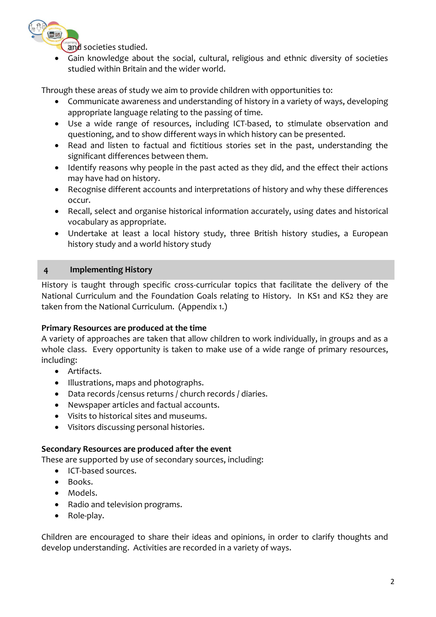

and societies studied.

Gain knowledge about the social, cultural, religious and ethnic diversity of societies studied within Britain and the wider world.

Through these areas of study we aim to provide children with opportunities to:

- Communicate awareness and understanding of history in a variety of ways, developing appropriate language relating to the passing of time.
- Use a wide range of resources, including ICT-based, to stimulate observation and questioning, and to show different ways in which history can be presented.
- Read and listen to factual and fictitious stories set in the past, understanding the significant differences between them.
- Identify reasons why people in the past acted as they did, and the effect their actions may have had on history.
- Recognise different accounts and interpretations of history and why these differences occur.
- Recall, select and organise historical information accurately, using dates and historical vocabulary as appropriate.
- Undertake at least a local history study, three British history studies, a European history study and a world history study

# **4 Implementing History**

History is taught through specific cross-curricular topics that facilitate the delivery of the National Curriculum and the Foundation Goals relating to History. In KS1 and KS2 they are taken from the National Curriculum. (Appendix 1.)

## **Primary Resources are produced at the time**

A variety of approaches are taken that allow children to work individually, in groups and as a whole class. Every opportunity is taken to make use of a wide range of primary resources, including:

- Artifacts.
- Illustrations, maps and photographs.
- Data records /census returns / church records / diaries.
- Newspaper articles and factual accounts.
- Visits to historical sites and museums.
- Visitors discussing personal histories.

## **Secondary Resources are produced after the event**

These are supported by use of secondary sources, including:

- ICT-based sources.
- Books.
- Models.
- Radio and television programs.
- Role-play.

Children are encouraged to share their ideas and opinions, in order to clarify thoughts and develop understanding. Activities are recorded in a variety of ways.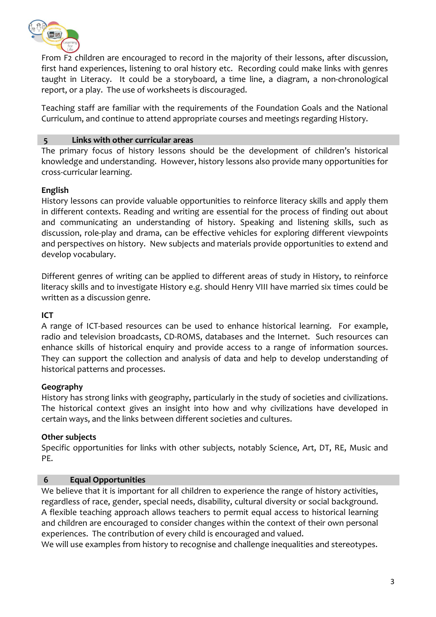

From F2 children are encouraged to record in the majority of their lessons, after discussion, first hand experiences, listening to oral history etc. Recording could make links with genres taught in Literacy. It could be a storyboard, a time line, a diagram, a non-chronological report, or a play. The use of worksheets is discouraged.

Teaching staff are familiar with the requirements of the Foundation Goals and the National Curriculum, and continue to attend appropriate courses and meetings regarding History.

# **5 Links with other curricular areas**

The primary focus of history lessons should be the development of children's historical knowledge and understanding. However, history lessons also provide many opportunities for cross-curricular learning.

# **English**

History lessons can provide valuable opportunities to reinforce literacy skills and apply them in different contexts. Reading and writing are essential for the process of finding out about and communicating an understanding of history. Speaking and listening skills, such as discussion, role-play and drama, can be effective vehicles for exploring different viewpoints and perspectives on history. New subjects and materials provide opportunities to extend and develop vocabulary.

Different genres of writing can be applied to different areas of study in History, to reinforce literacy skills and to investigate History e.g. should Henry VIII have married six times could be written as a discussion genre.

# **ICT**

A range of ICT-based resources can be used to enhance historical learning. For example, radio and television broadcasts, CD-ROMS, databases and the Internet. Such resources can enhance skills of historical enquiry and provide access to a range of information sources. They can support the collection and analysis of data and help to develop understanding of historical patterns and processes.

## **Geography**

History has strong links with geography, particularly in the study of societies and civilizations. The historical context gives an insight into how and why civilizations have developed in certain ways, and the links between different societies and cultures.

## **Other subjects**

Specific opportunities for links with other subjects, notably Science, Art, DT, RE, Music and PE.

## **6 Equal Opportunities**

We believe that it is important for all children to experience the range of history activities, regardless of race, gender, special needs, disability, cultural diversity or social background. A flexible teaching approach allows teachers to permit equal access to historical learning and children are encouraged to consider changes within the context of their own personal experiences. The contribution of every child is encouraged and valued.

We will use examples from history to recognise and challenge inequalities and stereotypes.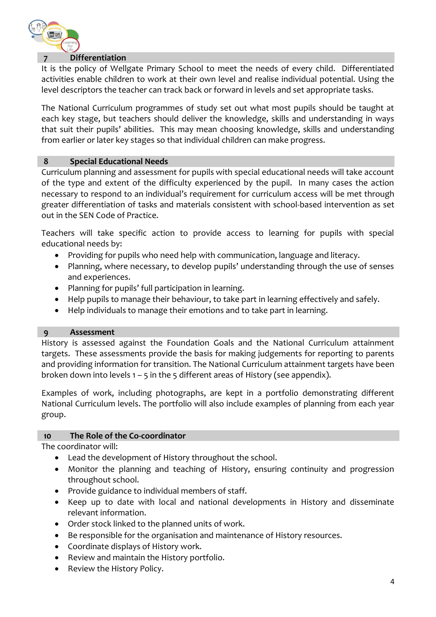

#### **7 Differentiation**

It is the policy of Wellgate Primary School to meet the needs of every child. Differentiated activities enable children to work at their own level and realise individual potential. Using the level descriptors the teacher can track back or forward in levels and set appropriate tasks.

The National Curriculum programmes of study set out what most pupils should be taught at each key stage, but teachers should deliver the knowledge, skills and understanding in ways that suit their pupils' abilities. This may mean choosing knowledge, skills and understanding from earlier or later key stages so that individual children can make progress.

### **8 Special Educational Needs**

Curriculum planning and assessment for pupils with special educational needs will take account of the type and extent of the difficulty experienced by the pupil. In many cases the action necessary to respond to an individual's requirement for curriculum access will be met through greater differentiation of tasks and materials consistent with school-based intervention as set out in the SEN Code of Practice.

Teachers will take specific action to provide access to learning for pupils with special educational needs by:

- Providing for pupils who need help with communication, language and literacy.
- Planning, where necessary, to develop pupils' understanding through the use of senses and experiences.
- Planning for pupils' full participation in learning.
- Help pupils to manage their behaviour, to take part in learning effectively and safely.
- Help individuals to manage their emotions and to take part in learning.

### **9 Assessment**

History is assessed against the Foundation Goals and the National Curriculum attainment targets. These assessments provide the basis for making judgements for reporting to parents and providing information for transition. The National Curriculum attainment targets have been broken down into levels  $1 - 5$  in the 5 different areas of History (see appendix).

Examples of work, including photographs, are kept in a portfolio demonstrating different National Curriculum levels. The portfolio will also include examples of planning from each year group.

### **10 The Role of the Co-coordinator**

The coordinator will:

- Lead the development of History throughout the school.
- Monitor the planning and teaching of History, ensuring continuity and progression throughout school.
- Provide guidance to individual members of staff.
- Keep up to date with local and national developments in History and disseminate relevant information.
- Order stock linked to the planned units of work.
- Be responsible for the organisation and maintenance of History resources.
- Coordinate displays of History work.
- Review and maintain the History portfolio.
- Review the History Policy.